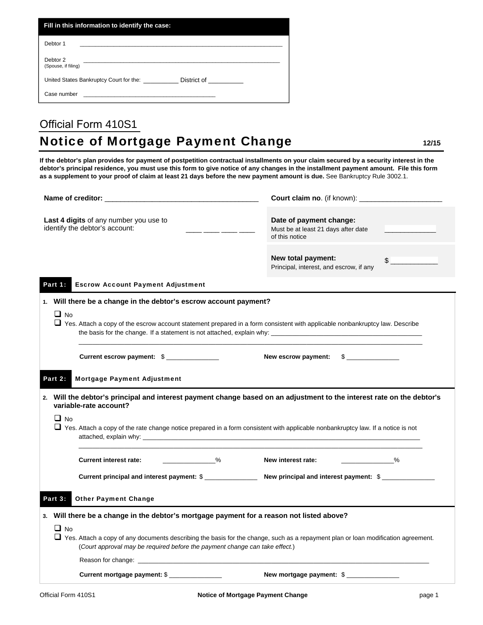| Fill in this information to identify the case:                         |  |  |  |  |  |  |
|------------------------------------------------------------------------|--|--|--|--|--|--|
| Debtor 1                                                               |  |  |  |  |  |  |
| Debtor 2<br>(Spouse, if filing)                                        |  |  |  |  |  |  |
| United States Bankruptcy Court for the:<br>District of <b>District</b> |  |  |  |  |  |  |
| Case number                                                            |  |  |  |  |  |  |

## Official Form 410S1 **Notice of Mortgage Payment Change**  12/15

**If the debtor's plan provides for payment of postpetition contractual installments on your claim secured by a security interest in the debtor's principal residence, you must use this form to give notice of any changes in the installment payment amount. File this form as a supplement to your proof of claim at least 21 days before the new payment amount is due.** See Bankruptcy Rule 3002.1.

| Last 4 digits of any number you use to<br>identify the debtor's account:<br><u> 2002 - 2003 - 2004 - 2005 - 200</u> |                                                                                                                                                                                                                                 |                                                                    | Date of payment change:<br>Must be at least 21 days after date<br>of this notice |    |  |  |  |  |
|---------------------------------------------------------------------------------------------------------------------|---------------------------------------------------------------------------------------------------------------------------------------------------------------------------------------------------------------------------------|--------------------------------------------------------------------|----------------------------------------------------------------------------------|----|--|--|--|--|
|                                                                                                                     |                                                                                                                                                                                                                                 |                                                                    | New total payment:<br>Principal, interest, and escrow, if any                    | \$ |  |  |  |  |
|                                                                                                                     | Part 1:                                                                                                                                                                                                                         | <b>Escrow Account Payment Adjustment</b>                           |                                                                                  |    |  |  |  |  |
| 1. Will there be a change in the debtor's escrow account payment?                                                   |                                                                                                                                                                                                                                 |                                                                    |                                                                                  |    |  |  |  |  |
|                                                                                                                     | $\Box$ No<br>□ Yes. Attach a copy of the escrow account statement prepared in a form consistent with applicable nonbankruptcy law. Describe                                                                                     |                                                                    |                                                                                  |    |  |  |  |  |
|                                                                                                                     |                                                                                                                                                                                                                                 | Current escrow payment: \$<br>New escrow payment:<br>$\frac{1}{2}$ |                                                                                  |    |  |  |  |  |
| <b>Mortgage Payment Adjustment</b><br>Part 2:                                                                       |                                                                                                                                                                                                                                 |                                                                    |                                                                                  |    |  |  |  |  |
|                                                                                                                     | 2. Will the debtor's principal and interest payment change based on an adjustment to the interest rate on the debtor's<br>variable-rate account?                                                                                |                                                                    |                                                                                  |    |  |  |  |  |
|                                                                                                                     | $\Box$ No<br>$\Box$ Yes. Attach a copy of the rate change notice prepared in a form consistent with applicable nonbankruptcy law. If a notice is not                                                                            |                                                                    |                                                                                  |    |  |  |  |  |
|                                                                                                                     |                                                                                                                                                                                                                                 |                                                                    | New interest rate: ______________%                                               |    |  |  |  |  |
|                                                                                                                     |                                                                                                                                                                                                                                 | Current principal and interest payment: \$                         |                                                                                  |    |  |  |  |  |
| <b>Other Payment Change</b><br>Part 3:                                                                              |                                                                                                                                                                                                                                 |                                                                    |                                                                                  |    |  |  |  |  |
| 3. Will there be a change in the debtor's mortgage payment for a reason not listed above?                           |                                                                                                                                                                                                                                 |                                                                    |                                                                                  |    |  |  |  |  |
|                                                                                                                     | $\Box$ No<br>□ Yes. Attach a copy of any documents describing the basis for the change, such as a repayment plan or loan modification agreement.<br>(Court approval may be required before the payment change can take effect.) |                                                                    |                                                                                  |    |  |  |  |  |
|                                                                                                                     |                                                                                                                                                                                                                                 |                                                                    |                                                                                  |    |  |  |  |  |
|                                                                                                                     |                                                                                                                                                                                                                                 | Current mortgage payment: \$                                       | New mortgage payment: \$                                                         |    |  |  |  |  |